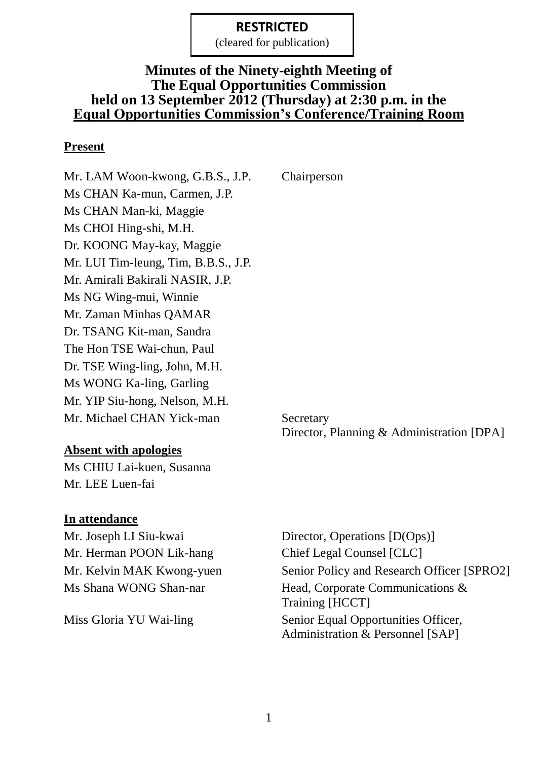(cleared for publication)

#### **Minutes of the Ninety-eighth Meeting of The Equal Opportunities Commission held on 13 September 2012 (Thursday) at 2:30 p.m. in the Equal Opportunities Commission's Conference/Training Room**

#### **Present**

Mr. LAM Woon-kwong, G.B.S., J.P. Chairperson Ms CHAN Ka-mun, Carmen, J.P. Ms CHAN Man-ki, Maggie Ms CHOI Hing-shi, M.H. Dr. KOONG May-kay, Maggie Mr. LUI Tim-leung, Tim, B.B.S., J.P. Mr. Amirali Bakirali NASIR, J.P. Ms NG Wing-mui, Winnie Mr. Zaman Minhas QAMAR Dr. TSANG Kit-man, Sandra The Hon TSE Wai-chun, Paul Dr. TSE Wing-ling, John, M.H. Ms WONG Ka-ling, Garling Mr. YIP Siu-hong, Nelson, M.H. Mr. Michael CHAN Yick-man Secretary

#### **Absent with apologies**

Ms CHIU Lai-kuen, Susanna Mr. LEE Luen-fai

#### **In attendance**

Mr. Joseph LI Siu-kwai Director, Operations [D(Ops)] Mr. Herman POON Lik-hang Chief Legal Counsel [CLC]

Mr. Kelvin MAK Kwong-yuen Senior Policy and Research Officer [SPRO2] Ms Shana WONG Shan-nar Head, Corporate Communications & Training [HCCT] Miss Gloria YU Wai-ling Senior Equal Opportunities Officer, Administration & Personnel [SAP]

Director, Planning & Administration [DPA]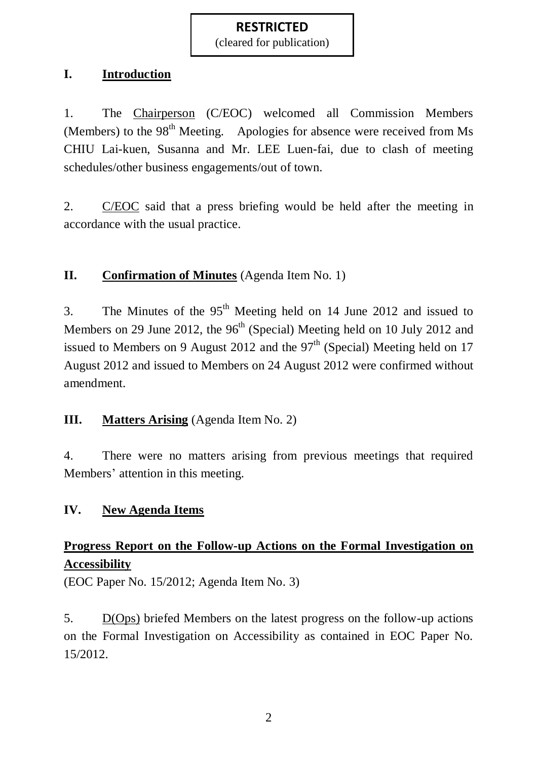(cleared for publication)

#### **I. Introduction**

1. The Chairperson (C/EOC) welcomed all Commission Members (Members) to the  $98<sup>th</sup>$  Meeting. Apologies for absence were received from Ms CHIU Lai-kuen, Susanna and Mr. LEE Luen-fai, due to clash of meeting schedules/other business engagements/out of town.

2. C/EOC said that a press briefing would be held after the meeting in accordance with the usual practice.

### **II. Confirmation of Minutes** (Agenda Item No. 1)

3. The Minutes of the  $95<sup>th</sup>$  Meeting held on 14 June 2012 and issued to Members on 29 June 2012, the  $96<sup>th</sup>$  (Special) Meeting held on 10 July 2012 and issued to Members on 9 August 2012 and the  $97<sup>th</sup>$  (Special) Meeting held on 17 August 2012 and issued to Members on 24 August 2012 were confirmed without amendment.

### **III. Matters Arising** (Agenda Item No. 2)

4. There were no matters arising from previous meetings that required Members' attention in this meeting.

#### **IV. New Agenda Items**

# **Progress Report on the Follow-up Actions on the Formal Investigation on Accessibility**

(EOC Paper No. 15/2012; Agenda Item No. 3)

5. D(Ops) briefed Members on the latest progress on the follow-up actions on the Formal Investigation on Accessibility as contained in EOC Paper No. 15/2012.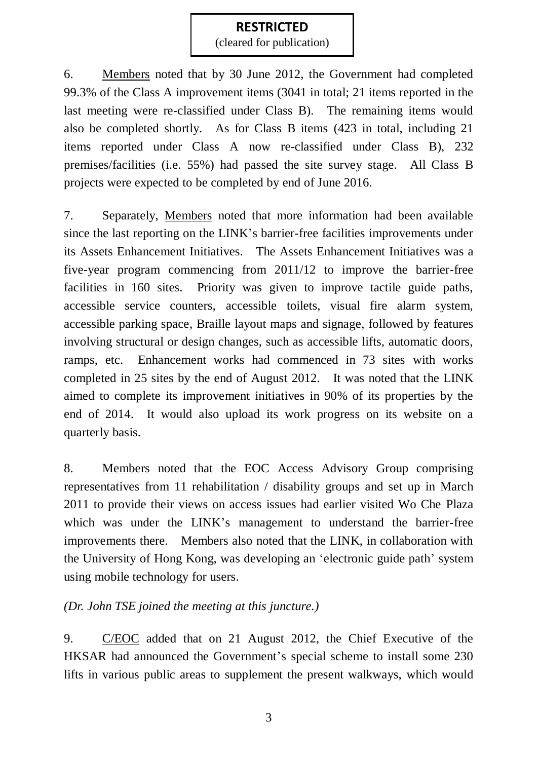(cleared for publication)

6. Members noted that by 30 June 2012, the Government had completed 99.3% of the Class A improvement items (3041 in total; 21 items reported in the last meeting were re-classified under Class B). The remaining items would also be completed shortly. As for Class B items (423 in total, including 21 items reported under Class A now re-classified under Class B), 232 premises/facilities (i.e. 55%) had passed the site survey stage. All Class B projects were expected to be completed by end of June 2016.

7. Separately, Members noted that more information had been available since the last reporting on the LINK's barrier-free facilities improvements under its Assets Enhancement Initiatives. The Assets Enhancement Initiatives was a five-year program commencing from 2011/12 to improve the barrier-free facilities in 160 sites. Priority was given to improve tactile guide paths, accessible service counters, accessible toilets, visual fire alarm system, accessible parking space, Braille layout maps and signage, followed by features involving structural or design changes, such as accessible lifts, automatic doors, ramps, etc. Enhancement works had commenced in 73 sites with works completed in 25 sites by the end of August 2012. It was noted that the LINK aimed to complete its improvement initiatives in 90% of its properties by the end of 2014. It would also upload its work progress on its website on a quarterly basis.

8. Members noted that the EOC Access Advisory Group comprising representatives from 11 rehabilitation / disability groups and set up in March 2011 to provide their views on access issues had earlier visited Wo Che Plaza which was under the LINK's management to understand the barrier-free improvements there. Members also noted that the LINK, in collaboration with the University of Hong Kong, was developing an 'electronic guide path' system using mobile technology for users.

#### *(Dr. John TSE joined the meeting at this juncture.)*

9. C/EOC added that on 21 August 2012, the Chief Executive of the HKSAR had announced the Government's special scheme to install some 230 lifts in various public areas to supplement the present walkways, which would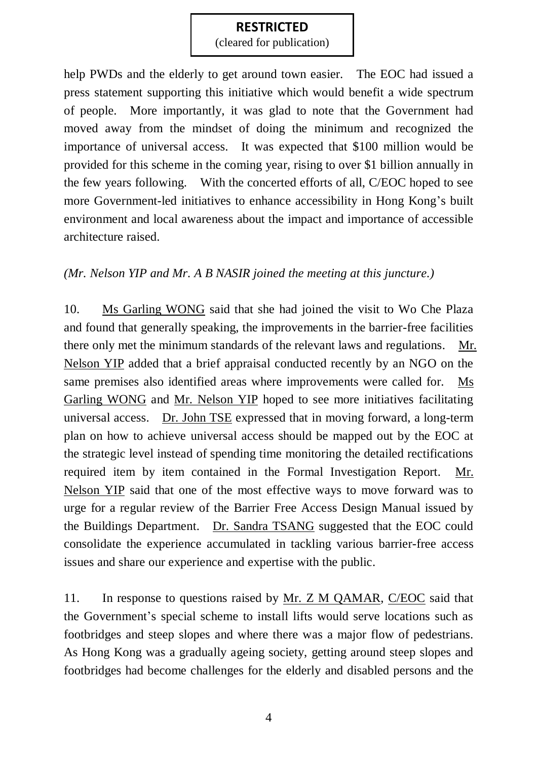(cleared for publication)

help PWDs and the elderly to get around town easier. The EOC had issued a press statement supporting this initiative which would benefit a wide spectrum of people. More importantly, it was glad to note that the Government had moved away from the mindset of doing the minimum and recognized the importance of universal access. It was expected that \$100 million would be provided for this scheme in the coming year, rising to over \$1 billion annually in the few years following. With the concerted efforts of all, C/EOC hoped to see more Government-led initiatives to enhance accessibility in Hong Kong's built environment and local awareness about the impact and importance of accessible architecture raised.

#### *(Mr. Nelson YIP and Mr. A B NASIR joined the meeting at this juncture.)*

10. Ms Garling WONG said that she had joined the visit to Wo Che Plaza and found that generally speaking, the improvements in the barrier-free facilities there only met the minimum standards of the relevant laws and regulations. Mr. Nelson YIP added that a brief appraisal conducted recently by an NGO on the same premises also identified areas where improvements were called for. Ms Garling WONG and Mr. Nelson YIP hoped to see more initiatives facilitating universal access. Dr. John TSE expressed that in moving forward, a long-term plan on how to achieve universal access should be mapped out by the EOC at the strategic level instead of spending time monitoring the detailed rectifications required item by item contained in the Formal Investigation Report. Mr. Nelson YIP said that one of the most effective ways to move forward was to urge for a regular review of the Barrier Free Access Design Manual issued by the Buildings Department. Dr. Sandra TSANG suggested that the EOC could consolidate the experience accumulated in tackling various barrier-free access issues and share our experience and expertise with the public.

11. In response to questions raised by Mr. Z M QAMAR, C/EOC said that the Government's special scheme to install lifts would serve locations such as footbridges and steep slopes and where there was a major flow of pedestrians. As Hong Kong was a gradually ageing society, getting around steep slopes and footbridges had become challenges for the elderly and disabled persons and the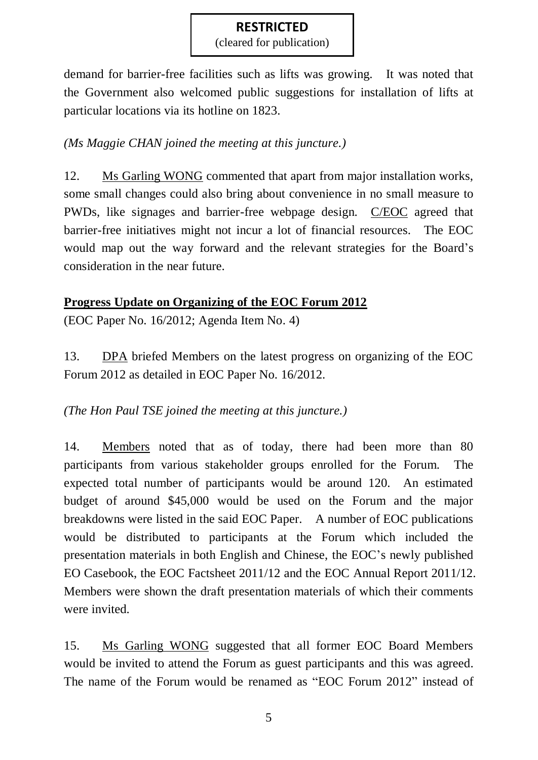(cleared for publication)

demand for barrier-free facilities such as lifts was growing. It was noted that the Government also welcomed public suggestions for installation of lifts at particular locations via its hotline on 1823.

#### *(Ms Maggie CHAN joined the meeting at this juncture.)*

12. Ms Garling WONG commented that apart from major installation works, some small changes could also bring about convenience in no small measure to PWDs, like signages and barrier-free webpage design. C/EOC agreed that barrier-free initiatives might not incur a lot of financial resources. The EOC would map out the way forward and the relevant strategies for the Board's consideration in the near future.

### **Progress Update on Organizing of the EOC Forum 2012**

(EOC Paper No. 16/2012; Agenda Item No. 4)

13. DPA briefed Members on the latest progress on organizing of the EOC Forum 2012 as detailed in EOC Paper No. 16/2012.

#### *(The Hon Paul TSE joined the meeting at this juncture.)*

14. Members noted that as of today, there had been more than 80 participants from various stakeholder groups enrolled for the Forum. The expected total number of participants would be around 120. An estimated budget of around \$45,000 would be used on the Forum and the major breakdowns were listed in the said EOC Paper. A number of EOC publications would be distributed to participants at the Forum which included the presentation materials in both English and Chinese, the EOC's newly published EO Casebook, the EOC Factsheet 2011/12 and the EOC Annual Report 2011/12. Members were shown the draft presentation materials of which their comments were invited.

15. Ms Garling WONG suggested that all former EOC Board Members would be invited to attend the Forum as guest participants and this was agreed. The name of the Forum would be renamed as "EOC Forum 2012" instead of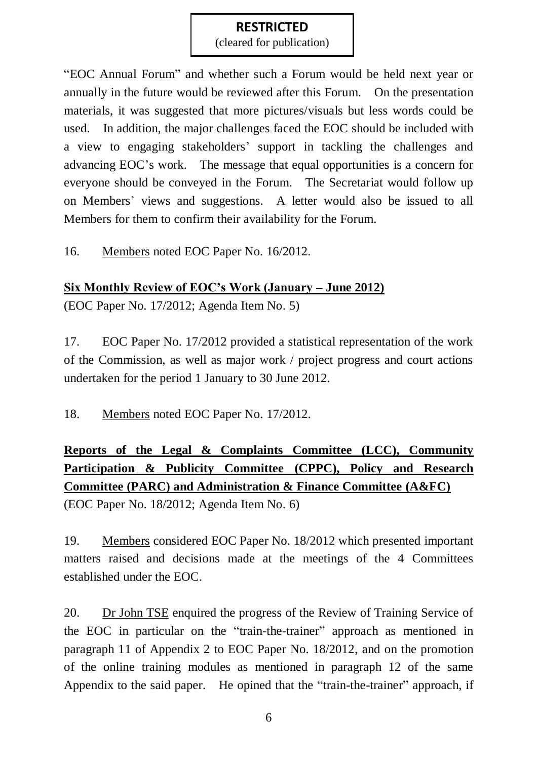(cleared for publication)

"EOC Annual Forum" and whether such a Forum would be held next year or annually in the future would be reviewed after this Forum. On the presentation materials, it was suggested that more pictures/visuals but less words could be used. In addition, the major challenges faced the EOC should be included with a view to engaging stakeholders' support in tackling the challenges and advancing EOC's work. The message that equal opportunities is a concern for everyone should be conveyed in the Forum. The Secretariat would follow up on Members' views and suggestions. A letter would also be issued to all Members for them to confirm their availability for the Forum.

16. Members noted EOC Paper No. 16/2012.

### **Six Monthly Review of EOC's Work (January – June 2012)**

(EOC Paper No. 17/2012; Agenda Item No. 5)

17. EOC Paper No. 17/2012 provided a statistical representation of the work of the Commission, as well as major work / project progress and court actions undertaken for the period 1 January to 30 June 2012.

18. Members noted EOC Paper No. 17/2012.

# **Reports of the Legal & Complaints Committee (LCC), Community Participation & Publicity Committee (CPPC), Policy and Research Committee (PARC) and Administration & Finance Committee (A&FC)**

(EOC Paper No. 18/2012; Agenda Item No. 6)

19. Members considered EOC Paper No. 18/2012 which presented important matters raised and decisions made at the meetings of the 4 Committees established under the EOC.

20. Dr John TSE enquired the progress of the Review of Training Service of the EOC in particular on the "train-the-trainer" approach as mentioned in paragraph 11 of Appendix 2 to EOC Paper No. 18/2012, and on the promotion of the online training modules as mentioned in paragraph 12 of the same Appendix to the said paper. He opined that the "train-the-trainer" approach, if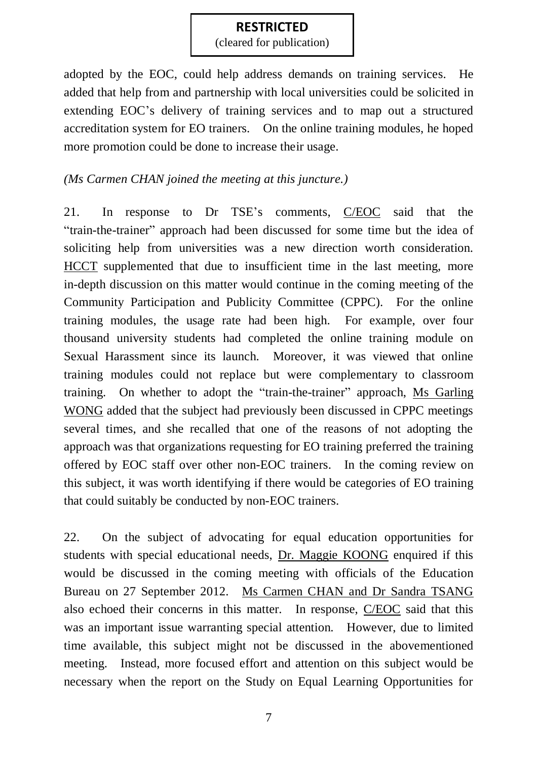(cleared for publication)

adopted by the EOC, could help address demands on training services. He added that help from and partnership with local universities could be solicited in extending EOC's delivery of training services and to map out a structured accreditation system for EO trainers. On the online training modules, he hoped more promotion could be done to increase their usage.

#### *(Ms Carmen CHAN joined the meeting at this juncture.)*

21. In response to Dr TSE's comments, C/EOC said that the "train-the-trainer" approach had been discussed for some time but the idea of soliciting help from universities was a new direction worth consideration. HCCT supplemented that due to insufficient time in the last meeting, more in-depth discussion on this matter would continue in the coming meeting of the Community Participation and Publicity Committee (CPPC). For the online training modules, the usage rate had been high. For example, over four thousand university students had completed the online training module on Sexual Harassment since its launch. Moreover, it was viewed that online training modules could not replace but were complementary to classroom training. On whether to adopt the "train-the-trainer" approach, Ms Garling WONG added that the subject had previously been discussed in CPPC meetings several times, and she recalled that one of the reasons of not adopting the approach was that organizations requesting for EO training preferred the training offered by EOC staff over other non-EOC trainers. In the coming review on this subject, it was worth identifying if there would be categories of EO training that could suitably be conducted by non-EOC trainers.

22. On the subject of advocating for equal education opportunities for students with special educational needs, Dr. Maggie KOONG enquired if this would be discussed in the coming meeting with officials of the Education Bureau on 27 September 2012. Ms Carmen CHAN and Dr Sandra TSANG also echoed their concerns in this matter. In response, C/EOC said that this was an important issue warranting special attention. However, due to limited time available, this subject might not be discussed in the abovementioned meeting. Instead, more focused effort and attention on this subject would be necessary when the report on the Study on Equal Learning Opportunities for

7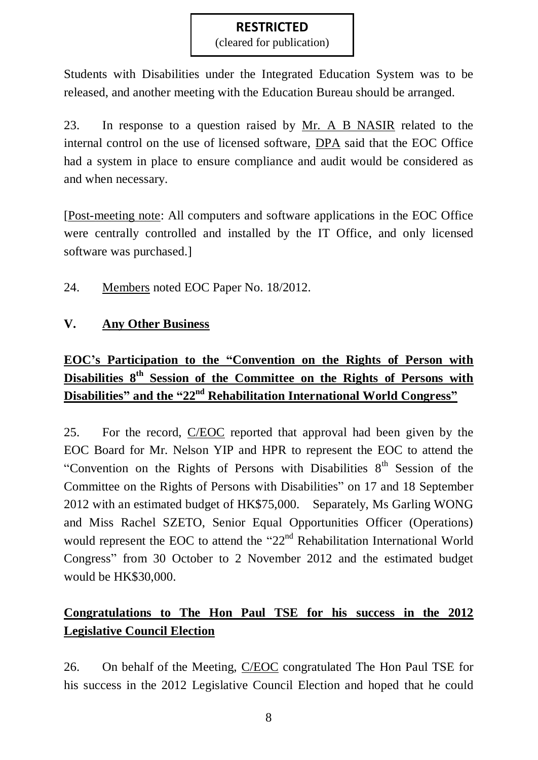(cleared for publication)

Students with Disabilities under the Integrated Education System was to be released, and another meeting with the Education Bureau should be arranged.

23. In response to a question raised by Mr. A B NASIR related to the internal control on the use of licensed software, DPA said that the EOC Office had a system in place to ensure compliance and audit would be considered as and when necessary.

[Post-meeting note: All computers and software applications in the EOC Office were centrally controlled and installed by the IT Office, and only licensed software was purchased.]

24. Members noted EOC Paper No. 18/2012.

### **V. Any Other Business**

# **EOC's Participation to the "Convention on the Rights of Person with Disabilities 8th Session of the Committee on the Rights of Persons with Disabilities" and the "22nd Rehabilitation International World Congress"**

25. For the record, C/EOC reported that approval had been given by the EOC Board for Mr. Nelson YIP and HPR to represent the EOC to attend the "Convention on the Rights of Persons with Disabilities 8<sup>th</sup> Session of the Committee on the Rights of Persons with Disabilities" on 17 and 18 September 2012 with an estimated budget of HK\$75,000. Separately, Ms Garling WONG and Miss Rachel SZETO, Senior Equal Opportunities Officer (Operations) would represent the EOC to attend the "22<sup>nd</sup> Rehabilitation International World Congress" from 30 October to 2 November 2012 and the estimated budget would be HK\$30,000.

## **Congratulations to The Hon Paul TSE for his success in the 2012 Legislative Council Election**

26. On behalf of the Meeting, C/EOC congratulated The Hon Paul TSE for his success in the 2012 Legislative Council Election and hoped that he could